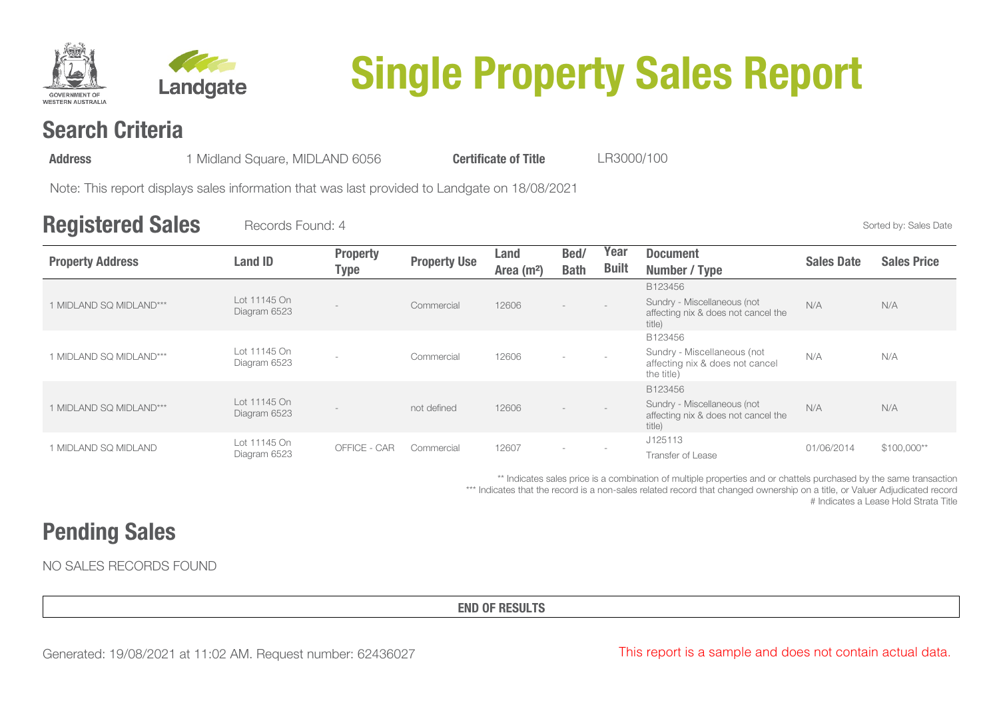



# **Single Property Sales Report**

# **Search Criteria**

| 1 Midland Square, MIDLAND 6056<br><b>Address</b> | <b>Certificate of Title</b> | LR3000/100 |
|--------------------------------------------------|-----------------------------|------------|
|--------------------------------------------------|-----------------------------|------------|

Note: This report displays sales information that was last provided to Landgate on 18/08/2021

### **Registered Sales** Records Found: 4 Sorted by: Sales Date

| <b>Property Address</b> | <b>Land ID</b>               | <b>Property</b><br>Type | <b>Property Use</b> | Land<br>Area $(m2)$ | Bed/<br><b>Bath</b> | Year<br><b>Built</b> | <b>Document</b><br>Number / Type                                                        | <b>Sales Date</b> | <b>Sales Price</b> |
|-------------------------|------------------------------|-------------------------|---------------------|---------------------|---------------------|----------------------|-----------------------------------------------------------------------------------------|-------------------|--------------------|
| 1 MIDLAND SQ MIDLAND*** | Lot 11145 On<br>Diagram 6523 |                         | Commercial          | 12606               |                     |                      | B123456<br>Sundry - Miscellaneous (not<br>affecting nix & does not cancel the<br>title) | N/A               | N/A                |
| 1 MIDLAND SQ MIDLAND*** | Lot 11145 On<br>Diagram 6523 |                         | Commercial          | 12606               |                     |                      | B123456<br>Sundry - Miscellaneous (not<br>affecting nix & does not cancel<br>the title) | N/A               | N/A                |
| 1 MIDLAND SQ MIDLAND*** | Lot 11145 On<br>Diagram 6523 |                         | not defined         | 12606               |                     |                      | B123456<br>Sundry - Miscellaneous (not<br>affecting nix & does not cancel the<br>title) | N/A               | N/A                |
| 1 MIDLAND SQ MIDLAND    | Lot 11145 On<br>Diagram 6523 | OFFICE - CAR            | Commercial          | 12607               |                     |                      | J125113<br>Transfer of Lease                                                            | 01/06/2014        | $$100,000**$       |

\*\* Indicates sales price is a combination of multiple properties and or chattels purchased by the same transaction \*\*\* Indicates that the record is a non-sales related record that changed ownership on a title, or Valuer Adjudicated record # Indicates a Lease Hold Strata Title

# **Pending Sales**

NO SALES RECORDS FOUND

**END OF RESULTS**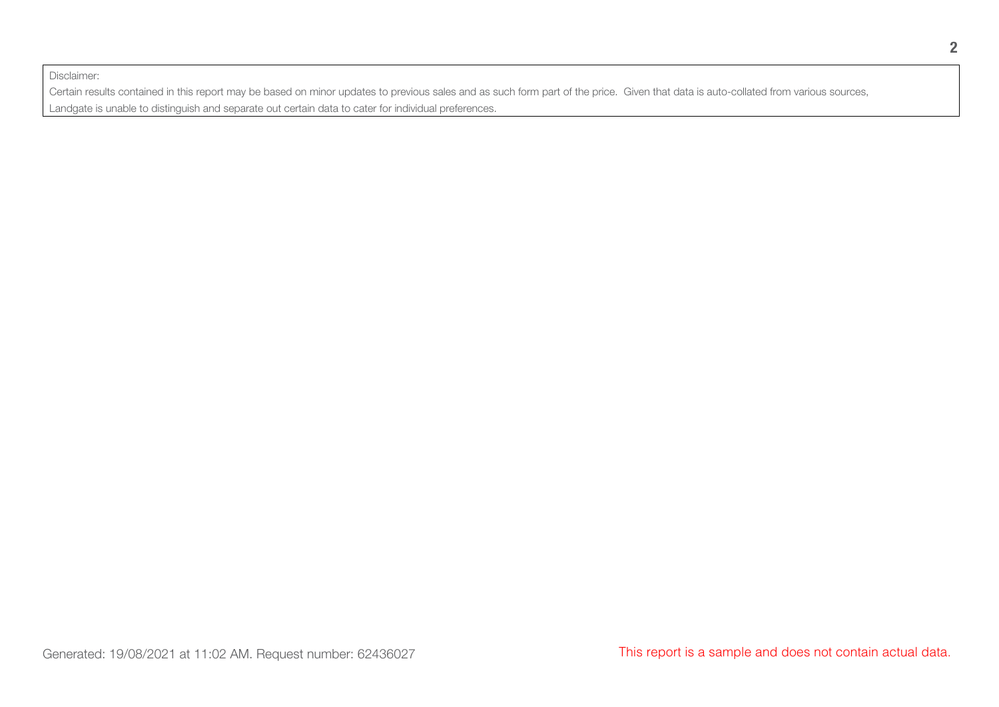Disclaimer:

Certain results contained in this report may be based on minor updates to previous sales and as such form part of the price. Given that data is auto-collated from various sources, Landgate is unable to distinguish and separate out certain data to cater for individual preferences.